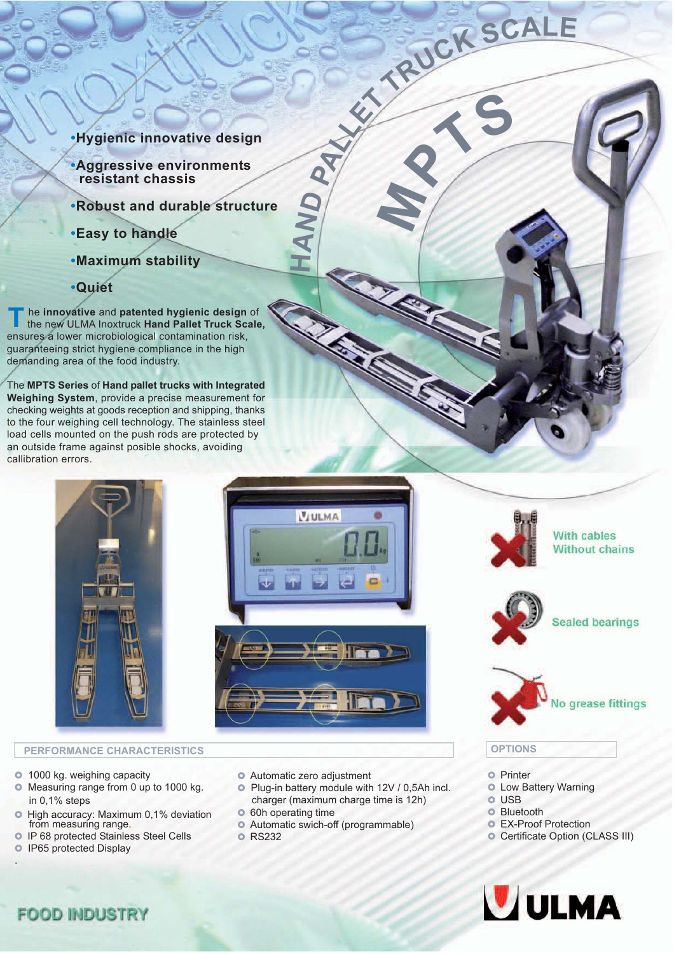## **•Hygienic innovative design**

- **•Aggressive environments resistant chassis**
- **•Robust and durable structure**
- **•Easy to handle**
- **•Maximum stability**
- **•Quiet**

 he **innovative** and **patented hygienic design** of the new ULMA Inoxtruck **Hand Pallet Truck Scale,**  ensures a lower microbiological contamination risk, guaranteeing strict hygiene compliance in the high demanding area of the food industry. **T**

The **MPTS Series** of **Hand pallet trucks with Integrated Weighing System**, provide a precise measurement for checking weights at goods reception and shipping, thanks to the four weighing cell technology. The stainless steel load cells mounted on the push rods are protected by an outside frame against posible shocks, avoiding callibration errors.



**H**

 $\leq$ 

**D**  $D_{\cal A}$ 

**PALLE<sup>T</sup> <sup>T</sup>RUC<sup>K</sup> <sup>S</sup>CAL<sup>E</sup>**

 $\frac{1}{2}$ 



- <sup>o</sup> 1000 kg. weighing capacity
- O Measuring range from 0 up to 1000 kg. in 0,1% steps
- O High accuracy: Maximum 0,1% deviation **from measuring range.**
- **O IP 68 protected Stainless Steel Cells**
- **O** IP65 protected Display .
- O Automatic zero adjustment
- O Plug-in battery module with 12V / 0,5Ah incl. charger (maximum charge time is 12h)
- O 60h operating time
- O Automatic swich-off (programmable)
- O RS232











- 
- O Printer
- O Low Battery Warning
- O USB
- **O** Bluetooth
- O EX-Proof Protection
- O Certificate Option (CLASS III)



**FOOD INDUSTRY**